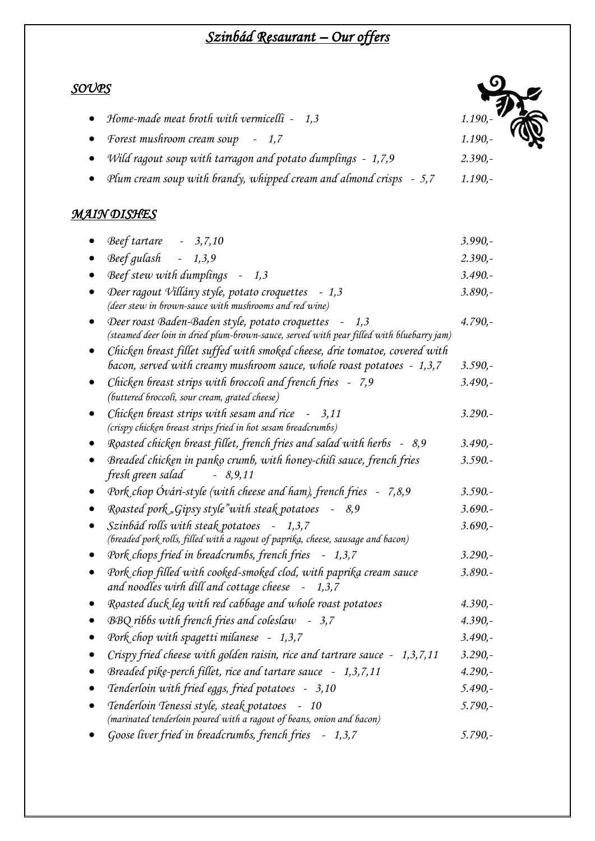# *Szinbád Resaurant – Our offers*

### *SOUPS*

| • Home-made meat broth with vermicelli $-1,3$                  | 1.190,- |
|----------------------------------------------------------------|---------|
| • Forest mushroom cream soup - 1,7                             | 1.190,- |
| • Wild ragout soup with tarragon and potato dumplings $-1,7,9$ | 2.390.  |

*Plum cream soup with brandy, whipped cream and almond crisps - 5,7 1.190,-*

### *MAIN DISHES*

| $Beef tartare$ - 3,7,10                                                                                                                            | $3.990,-$ |
|----------------------------------------------------------------------------------------------------------------------------------------------------|-----------|
| Beef gulash - 1,3,9                                                                                                                                | $2.390 -$ |
| Beef stew with dumplings - 1,3                                                                                                                     | $3.490 -$ |
| Deer ragout Villány style, potato croquettes - 1,3<br>(deer stew in brown-sauce with mushrooms and red wine)                                       | $3.890 -$ |
| Deer roast Baden-Baden style, potato croquettes - 1,3<br>(steamed deer loin in dried plum-brown-sauce, served with pear filled with bluebarry jam) | $4.790 -$ |
| Chicken breast fillet suffed with smoked cheese, drie tomatoe, covered with                                                                        |           |
| bacon, served with creamy mushroom sauce, whole roast potatoes - 1,3,7                                                                             | $3.590 -$ |
| Chicken breast strips with broccoli and french fries - 7,9<br>(buttered broccoli, sour cream, grated cheese)                                       | $3.490 -$ |
| Chicken breast strips with sesam and rice - 3,11<br>(crispy chicken breast strips fried in hot sesam breadcrumbs)                                  | $3.290 -$ |
| Roasted chicken breast fillet, french fries and salad with herbs - 8,9                                                                             | $3.490 -$ |
| Breaded chicken in panko crumb, with honey-chili sauce, french fries<br>fresh green salad<br>$-8,9,11$                                             | $3.590 -$ |
| Pork chop Óvári-style (with cheese and ham), french fries - 7,8,9                                                                                  | $3.590 -$ |
| Roasted pork "Gipsy style" with steak potatoes<br>$-8,9$                                                                                           | $3.690 -$ |
| Szinbád rolls with steak potatoes - 1,3,7<br>(breaded pork rolls, filled with a ragout of paprika, cheese, sausage and bacon)                      | $3.690 -$ |
| Pork chops fried in breadcrumbs, french fries - 1,3,7                                                                                              | $3.290 -$ |
| Pork chop filled with cooked-smoked clod, with paprika cream sauce<br>and noodles wirh dill and cottage cheese - 1,3,7                             | $3.890 -$ |
| Roasted duck leg with red cabbage and whole roast potatoes                                                                                         | $4.390 -$ |
| BBQ ribbs with french fries and coleslaw - 3,7                                                                                                     | $4.390 -$ |
| Pork chop with spagetti milanese - 1,3,7                                                                                                           | $3.490 -$ |
| Crispy fried cheese with golden raisin, rice and tartrare sauce - 1,3,7,11                                                                         | $3.290 -$ |
| Breaded pike-perch fillet, rice and tartare sauce - 1,3,7,11                                                                                       | $4.290 -$ |
| Tenderloin with fried eggs, fried potatoes - 3,10                                                                                                  | $5.490 -$ |
| Tenderloin Tenessi style, steak potatoes<br>$-10$<br>(marinated tenderloin poured with a ragout of beans, onion and bacon)                         | $5.790 -$ |
| Goose liver fried in breadcrumbs, french fries - 1,3,7                                                                                             | $5.790 -$ |
|                                                                                                                                                    |           |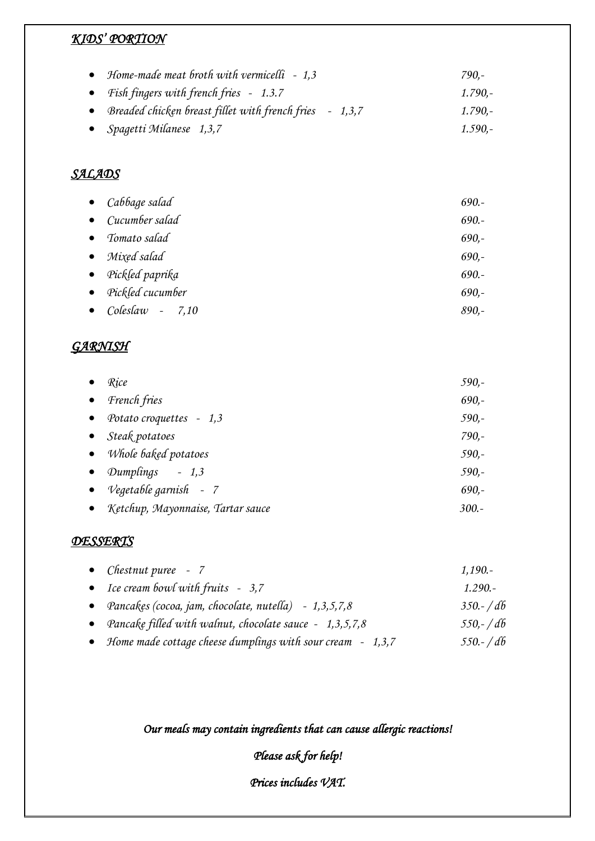# *KIDS' PORTION*

| • Home-made meat broth with vermicelli $-1,3$             | 790.-     |
|-----------------------------------------------------------|-----------|
| • Fish fingers with french fries $-1.3.7$                 | $1.790 -$ |
| • Breaded chicken breast fillet with french fries - 1,3,7 | $1.790 -$ |
| • Spagetti Milanese 1,3,7                                 | $1.590 -$ |

### *SALADS*

|           | $\bullet$ Cabbage salad   | $690.-$ |
|-----------|---------------------------|---------|
|           | $\bullet$ Cucumber salad  | $690 -$ |
|           | • Tomato salad            | $690,-$ |
|           | $\bullet$ Mixed salad     | $690,-$ |
|           | $\bullet$ Pickled paprika | $690 -$ |
| $\bullet$ | Pickled cucumber          | $690 -$ |
| $\bullet$ | $Coleslaw - 7,10$         | $890,-$ |
|           |                           |         |

#### *GARNISH*

|           | Rice                                | 590,-   |
|-----------|-------------------------------------|---------|
| $\bullet$ | French fries                        | $690 -$ |
| $\bullet$ | Potato croquettes - 1,3             | $590 -$ |
|           | $\bullet$ Steak potatoes            | $790 -$ |
|           | • Whole baked potatoes              | $590 -$ |
| $\bullet$ | Dumplings $-1,3$                    | $590 -$ |
|           | • Vegetable garnish - $7$           | $690 -$ |
|           | • Ketchup, Mayonnaise, Tartar sauce | $300.-$ |

#### *DESSERTS*

| • <i>Chestnut puree</i> $-7$                                 | $1,190. -$   |
|--------------------------------------------------------------|--------------|
| • Ice cream bowl with fruits $-3,7$                          | $1.290 -$    |
| • Pancakes (cocoa, jam, chocolate, nutella) $-1,3,5,7,8$     | $350 - / d6$ |
| • Pancake filled with walnut, chocolate sauce - $1,3,5,7,8$  | $550 - 46$   |
| • Home made cottage cheese dumplings with sour cream - 1,3,7 | $550 - / db$ |

## *Our meals may contain ingredients that can cause allergic reactions!*

# *Please ask for help!*

*Prices includes VAT.*